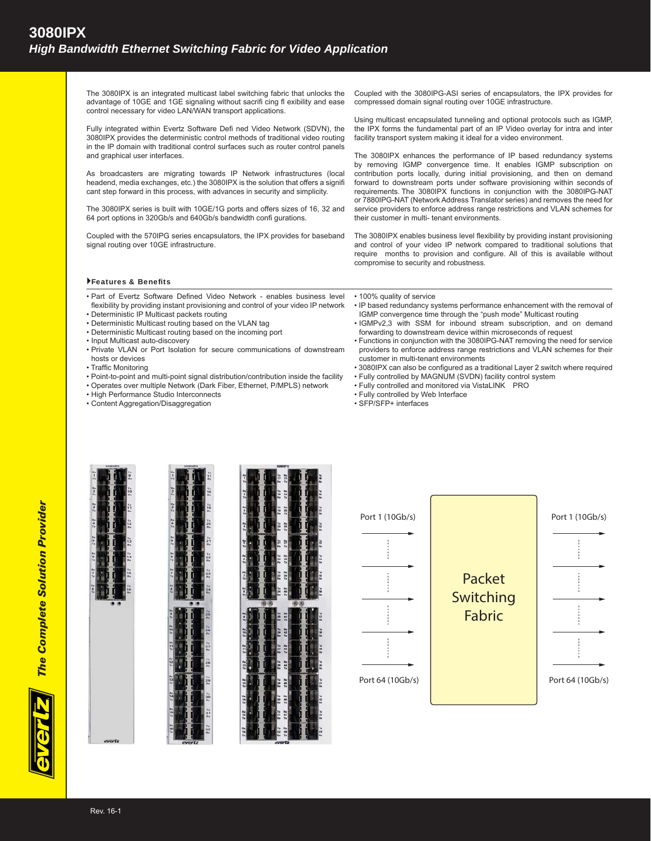The 3080IPX is an integrated multicast label switching fabric that unlocks the advantage of 10GE and 1GE signaling without sacrifi cing fl exibility and ease control necessary for video LAN/WAN transport applications.

Fully integrated within Evertz Software Defi ned Video Network (SDVN), the 3080IPX provides the deterministic control methods of traditional video routing in the IP domain with traditional control surfaces such as router control panels and graphical user interfaces.

As broadcasters are migrating towards IP Network infrastructures (local headend, media exchanges, etc.) the 3080IPX is the solution that offers a signifi cant step forward in this process, with advances in security and simplicity.

The 3080IPX series is built with 10GE/1G ports and offers sizes of 16, 32 and 64 port options in 320Gb/s and 640Gb/s bandwidth confi gurations.

Coupled with the 570IPG series encapsulators, the IPX provides for baseband signal routing over 10GE infrastructure.

Coupled with the 3080IPG-ASI series of encapsulators, the IPX provides for compressed domain signal routing over 10GE infrastructure.

The 3080IPX enhances the performance of IP based redundancy systems by removing IGMP convergence time. It enables IGMP subscription on contribution ports locally, during initial provisioning, and then on demand forward to downstream ports under software provisioning within seconds of requirements. The 3080IPX functions in conjunction with the 3080IPG-NAT or 7880IPG-NAT (Network Address Translator series) and removes the need for service providers to enforce address range restrictions and VLAN schemes for their customer in multi- tenant environments.

The 3080IPX enables business level flexibility by providing instant provisioning and control of your video IP network compared to traditional solutions that require months to provision and configure. All of this is available without compromise to security and robustness.

## Features & Benefits

- Part of Evertz Software Defined Video Network enables business level flexibility by providing instant provisioning and control of your video IP network
- Deterministic IP Multicast packets routing
- Deterministic Multicast routing based on the VLAN tag
- Deterministic Multicast routing based on the incoming port
- Input Multicast auto-discovery
- 
- Private VLAN or Port Isolation for secure communications of downstream hosts or devices
- Traffic Monitoring
- Point-to-point and multi-point signal distribution/contribution inside the facility
- Operates over multiple Network (Dark Fiber, Ethernet, P/MPLS) network
- High Performance Studio Interconnects
- Content Aggregation/Disaggregation

• 100% quality of service

- IP based redundancy systems performance enhancement with the removal of IGMP convergence time through the "push mode" Multicast routing
- IGMPv2,3 with SSM for inbound stream subscription, and on demand forwarding to downstream device within microseconds of request
- Functions in conjunction with the 3080IPG-NAT removing the need for service providers to enforce address range restrictions and VLAN schemes for their customer in multi-tenant environments
- 3080IPX can also be configured as a traditional Layer 2 switch where required
- Fully controlled by MAGNUM (SVDN) facility control system
- Fully controlled and monitored via VistaLINK PRO
- Fully controlled by Web Interface
- SFP/SFP+ interfaces



*The Complete Solution Provider*

**The Complete Solution Provider** 

| $\frac{1}{16}$       |                                                                                                      | $\begin{array}{c} T \star \\ T \star \\ T \star \\ R \star \end{array}$ |
|----------------------|------------------------------------------------------------------------------------------------------|-------------------------------------------------------------------------|
| n.<br>7.             |                                                                                                      | Tx<br>18<br>Mx                                                          |
| n.,                  |                                                                                                      | Tx<br>19<br>Nx                                                          |
| $\frac{1}{14}$       |                                                                                                      | $\frac{1}{20}$                                                          |
| n,                   |                                                                                                      | $\frac{73}{23}$                                                         |
| 707                  |                                                                                                      | $\frac{7}{22}$                                                          |
| n,<br>7.             |                                                                                                      | $\frac{78}{23}$                                                         |
| $n_a$<br>$n_b$       |                                                                                                      | $\frac{74}{24}$                                                         |
|                      |                                                                                                      |                                                                         |
| <b>H</b><br>19<br>19 |                                                                                                      | $7*$<br>$26*$                                                           |
| $\frac{n}{10}$       |                                                                                                      | $\frac{14}{20}$                                                         |
| H.e<br>11<br>Te      |                                                                                                      | $\frac{1}{27}$                                                          |
| $\frac{n}{12}$       |                                                                                                      | $\begin{array}{c} 7* \\ 28 \\ m \end{array}$                            |
|                      |                                                                                                      | $\frac{78}{29}$                                                         |
| ms<br>13<br>Tx       |                                                                                                      |                                                                         |
| $\frac{84}{14}$      |                                                                                                      | $rac{1}{30}$                                                            |
| n.<br>15<br>T.       | المسترام صرابات فانتصرت والمصرف صواب كمباي والأرزاب صوابق أياكم والمستوات كالمراج والمسترامة كالأناس | $\frac{7x}{31}$                                                         |